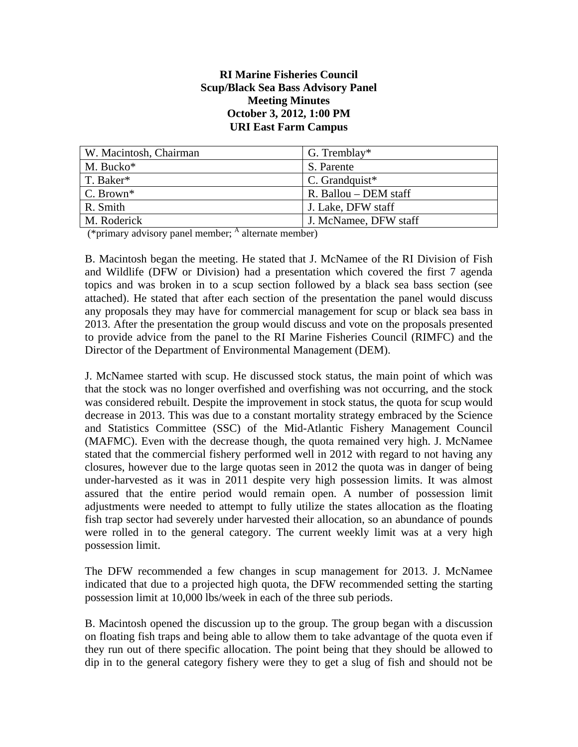#### **RI Marine Fisheries Council Scup/Black Sea Bass Advisory Panel Meeting Minutes October 3, 2012, 1:00 PM URI East Farm Campus**

| W. Macintosh, Chairman | G. Tremblay*          |
|------------------------|-----------------------|
| M. Bucko*              | S. Parente            |
| T. Baker*              | $C.$ Grandquist*      |
| C. Brown*              | R. Ballou – DEM staff |
| R. Smith               | J. Lake, DFW staff    |
| M. Roderick            | J. McNamee, DFW staff |

 $(*\text{primary advisory panel member};$   $^{\text{A}}$  alternate member)

B. Macintosh began the meeting. He stated that J. McNamee of the RI Division of Fish and Wildlife (DFW or Division) had a presentation which covered the first 7 agenda topics and was broken in to a scup section followed by a black sea bass section (see attached). He stated that after each section of the presentation the panel would discuss any proposals they may have for commercial management for scup or black sea bass in 2013. After the presentation the group would discuss and vote on the proposals presented to provide advice from the panel to the RI Marine Fisheries Council (RIMFC) and the Director of the Department of Environmental Management (DEM).

J. McNamee started with scup. He discussed stock status, the main point of which was that the stock was no longer overfished and overfishing was not occurring, and the stock was considered rebuilt. Despite the improvement in stock status, the quota for scup would decrease in 2013. This was due to a constant mortality strategy embraced by the Science and Statistics Committee (SSC) of the Mid-Atlantic Fishery Management Council (MAFMC). Even with the decrease though, the quota remained very high. J. McNamee stated that the commercial fishery performed well in 2012 with regard to not having any closures, however due to the large quotas seen in 2012 the quota was in danger of being under-harvested as it was in 2011 despite very high possession limits. It was almost assured that the entire period would remain open. A number of possession limit adjustments were needed to attempt to fully utilize the states allocation as the floating fish trap sector had severely under harvested their allocation, so an abundance of pounds were rolled in to the general category. The current weekly limit was at a very high possession limit.

The DFW recommended a few changes in scup management for 2013. J. McNamee indicated that due to a projected high quota, the DFW recommended setting the starting possession limit at 10,000 lbs/week in each of the three sub periods.

B. Macintosh opened the discussion up to the group. The group began with a discussion on floating fish traps and being able to allow them to take advantage of the quota even if they run out of there specific allocation. The point being that they should be allowed to dip in to the general category fishery were they to get a slug of fish and should not be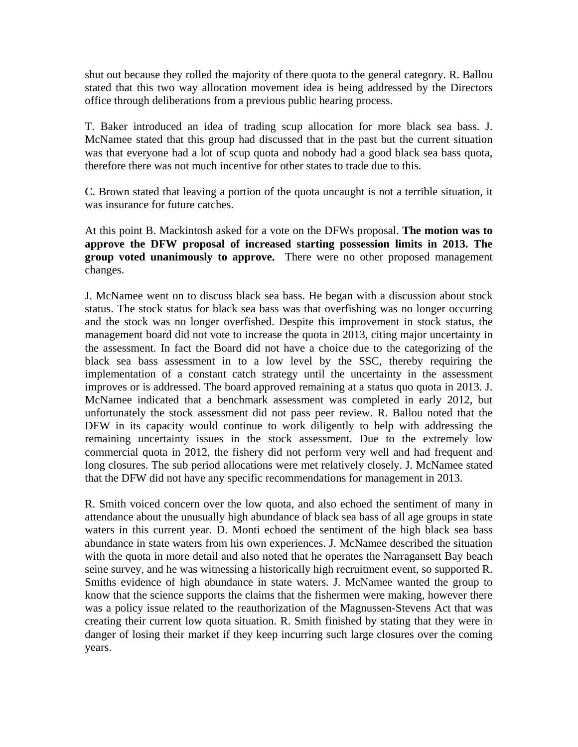shut out because they rolled the majority of there quota to the general category. R. Ballou stated that this two way allocation movement idea is being addressed by the Directors office through deliberations from a previous public hearing process.

T. Baker introduced an idea of trading scup allocation for more black sea bass. J. McNamee stated that this group had discussed that in the past but the current situation was that everyone had a lot of scup quota and nobody had a good black sea bass quota, therefore there was not much incentive for other states to trade due to this.

C. Brown stated that leaving a portion of the quota uncaught is not a terrible situation, it was insurance for future catches.

At this point B. Mackintosh asked for a vote on the DFWs proposal. **The motion was to approve the DFW proposal of increased starting possession limits in 2013. The group voted unanimously to approve.** There were no other proposed management changes.

J. McNamee went on to discuss black sea bass. He began with a discussion about stock status. The stock status for black sea bass was that overfishing was no longer occurring and the stock was no longer overfished. Despite this improvement in stock status, the management board did not vote to increase the quota in 2013, citing major uncertainty in the assessment. In fact the Board did not have a choice due to the categorizing of the black sea bass assessment in to a low level by the SSC, thereby requiring the implementation of a constant catch strategy until the uncertainty in the assessment improves or is addressed. The board approved remaining at a status quo quota in 2013. J. McNamee indicated that a benchmark assessment was completed in early 2012, but unfortunately the stock assessment did not pass peer review. R. Ballou noted that the DFW in its capacity would continue to work diligently to help with addressing the remaining uncertainty issues in the stock assessment. Due to the extremely low commercial quota in 2012, the fishery did not perform very well and had frequent and long closures. The sub period allocations were met relatively closely. J. McNamee stated that the DFW did not have any specific recommendations for management in 2013.

R. Smith voiced concern over the low quota, and also echoed the sentiment of many in attendance about the unusually high abundance of black sea bass of all age groups in state waters in this current year. D. Monti echoed the sentiment of the high black sea bass abundance in state waters from his own experiences. J. McNamee described the situation with the quota in more detail and also noted that he operates the Narragansett Bay beach seine survey, and he was witnessing a historically high recruitment event, so supported R. Smiths evidence of high abundance in state waters. J. McNamee wanted the group to know that the science supports the claims that the fishermen were making, however there was a policy issue related to the reauthorization of the Magnussen-Stevens Act that was creating their current low quota situation. R. Smith finished by stating that they were in danger of losing their market if they keep incurring such large closures over the coming years.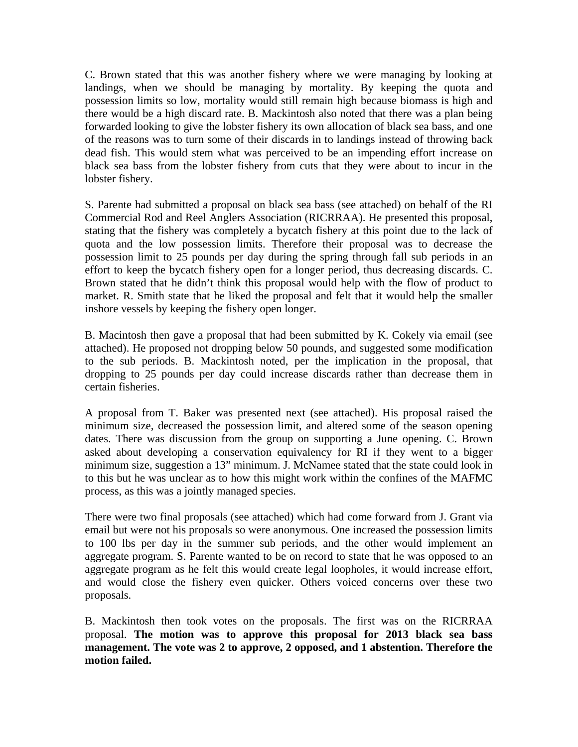C. Brown stated that this was another fishery where we were managing by looking at landings, when we should be managing by mortality. By keeping the quota and possession limits so low, mortality would still remain high because biomass is high and there would be a high discard rate. B. Mackintosh also noted that there was a plan being forwarded looking to give the lobster fishery its own allocation of black sea bass, and one of the reasons was to turn some of their discards in to landings instead of throwing back dead fish. This would stem what was perceived to be an impending effort increase on black sea bass from the lobster fishery from cuts that they were about to incur in the lobster fishery.

S. Parente had submitted a proposal on black sea bass (see attached) on behalf of the RI Commercial Rod and Reel Anglers Association (RICRRAA). He presented this proposal, stating that the fishery was completely a bycatch fishery at this point due to the lack of quota and the low possession limits. Therefore their proposal was to decrease the possession limit to 25 pounds per day during the spring through fall sub periods in an effort to keep the bycatch fishery open for a longer period, thus decreasing discards. C. Brown stated that he didn't think this proposal would help with the flow of product to market. R. Smith state that he liked the proposal and felt that it would help the smaller inshore vessels by keeping the fishery open longer.

B. Macintosh then gave a proposal that had been submitted by K. Cokely via email (see attached). He proposed not dropping below 50 pounds, and suggested some modification to the sub periods. B. Mackintosh noted, per the implication in the proposal, that dropping to 25 pounds per day could increase discards rather than decrease them in certain fisheries.

A proposal from T. Baker was presented next (see attached). His proposal raised the minimum size, decreased the possession limit, and altered some of the season opening dates. There was discussion from the group on supporting a June opening. C. Brown asked about developing a conservation equivalency for RI if they went to a bigger minimum size, suggestion a 13" minimum. J. McNamee stated that the state could look in to this but he was unclear as to how this might work within the confines of the MAFMC process, as this was a jointly managed species.

There were two final proposals (see attached) which had come forward from J. Grant via email but were not his proposals so were anonymous. One increased the possession limits to 100 lbs per day in the summer sub periods, and the other would implement an aggregate program. S. Parente wanted to be on record to state that he was opposed to an aggregate program as he felt this would create legal loopholes, it would increase effort, and would close the fishery even quicker. Others voiced concerns over these two proposals.

B. Mackintosh then took votes on the proposals. The first was on the RICRRAA proposal. **The motion was to approve this proposal for 2013 black sea bass management. The vote was 2 to approve, 2 opposed, and 1 abstention. Therefore the motion failed.**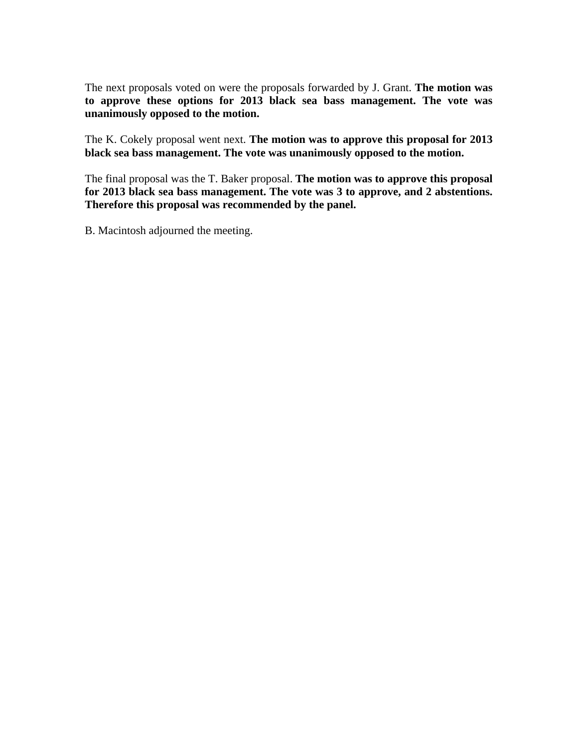The next proposals voted on were the proposals forwarded by J. Grant. **The motion was to approve these options for 2013 black sea bass management. The vote was unanimously opposed to the motion.**

The K. Cokely proposal went next. **The motion was to approve this proposal for 2013 black sea bass management. The vote was unanimously opposed to the motion.**

The final proposal was the T. Baker proposal. **The motion was to approve this proposal for 2013 black sea bass management. The vote was 3 to approve, and 2 abstentions. Therefore this proposal was recommended by the panel.**

B. Macintosh adjourned the meeting.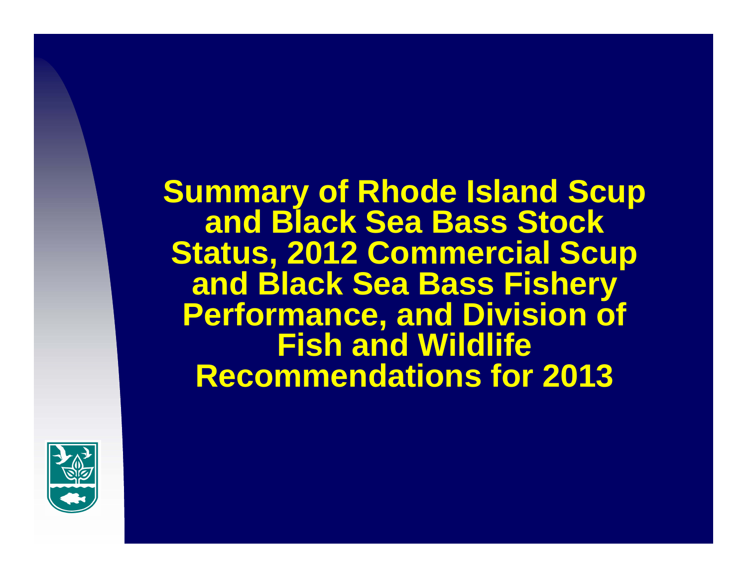**Summary of Rhode Island Scup and Black Sea Bass Stock Status, 2012 Commercial Scup and Black Sea Bass Fishery Performance, and Division of Fish and Wildlife Recommendations for 2013**

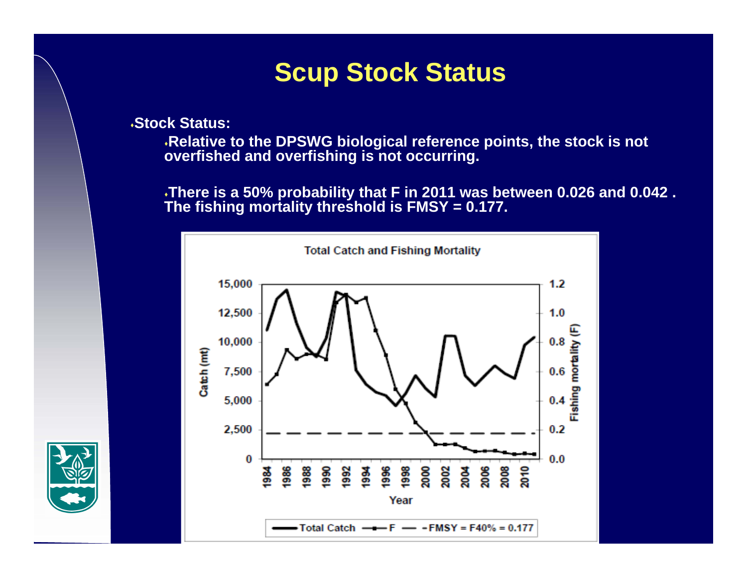## **Scup Stock Status**

**Stock Status:**

**Relative to the DPSWG biological reference points, the stock is not overfished and overfishing is not occurring.** 

**There is a 50% probability that F in 2011 was between 0.026 and 0.042 . The fishing mortality threshold is FMSY = 0.177.**



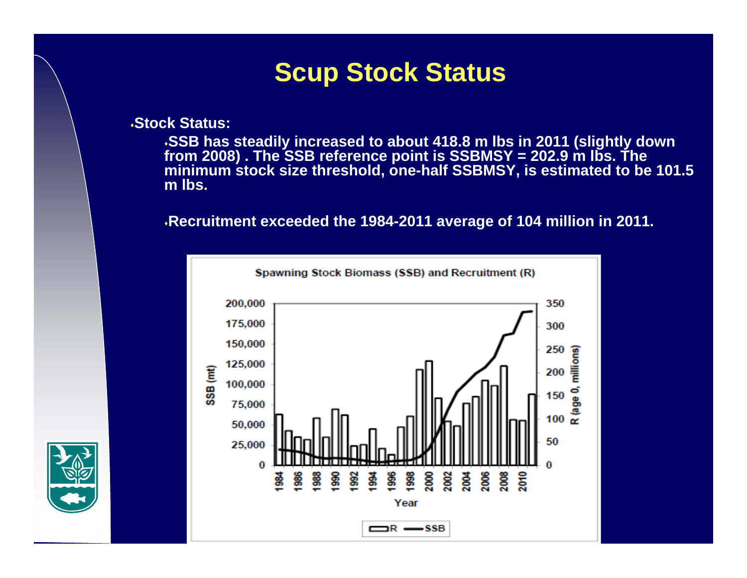## **Scup Stock Status**

**Stock Status:**

**SSB has steadily increased to about 418.8 m lbs in 2011 (slightly down from 2008) . The SSB reference point is SSBMSY = 202.9 m lbs. The minimum stock size threshold, one-half SSBMSY, is estimated to be 101.5 m lbs.**

**Recruitment exceeded the 1984-2011 average of 104 million in 2011.**



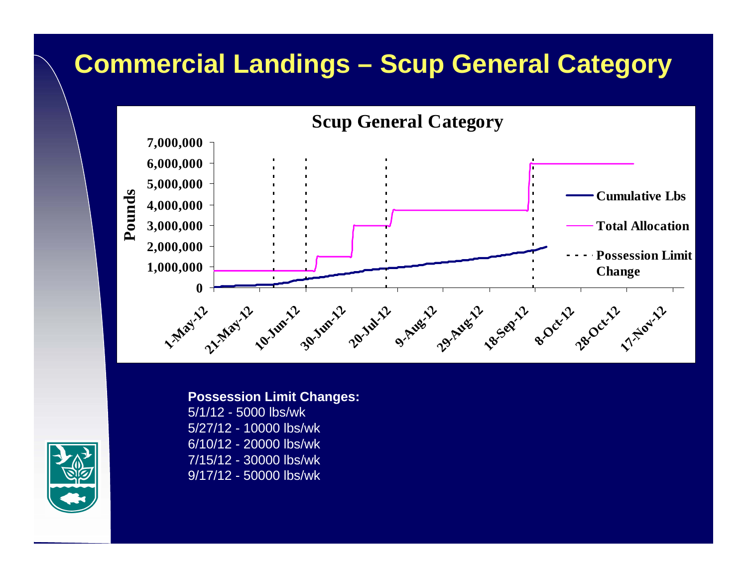# **Commercial Landings – Scup General Category**



**Possession Limit Changes:** 5/1/12 - 5000 lbs/wk5/27/12 - 10000 lbs/wk6/10/12 - 20000 lbs/wk7/15/12 - 30000 lbs/wk 9/17/12 - 50000 lbs/wk

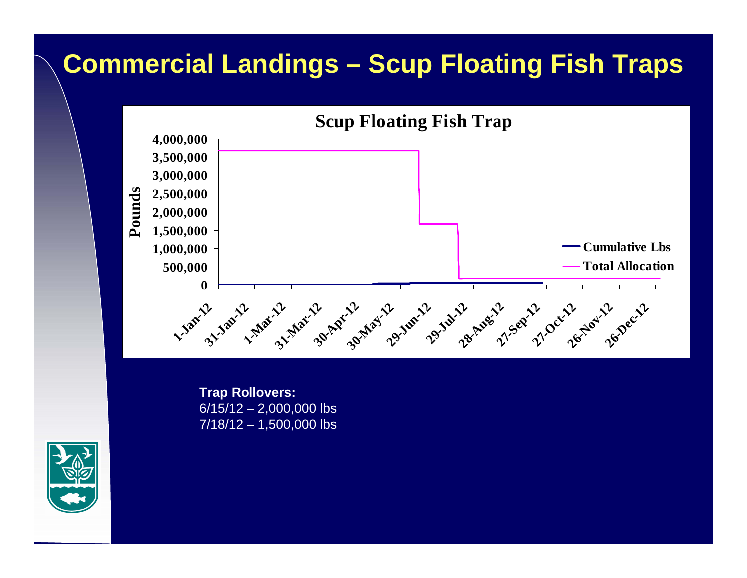# **Commercial Landings – Scup Floating Fish Traps**



**Trap Rollovers:**  $6/15/12 - 2,000,000$  lbs 7/18/12 – 1,500,000 lbs

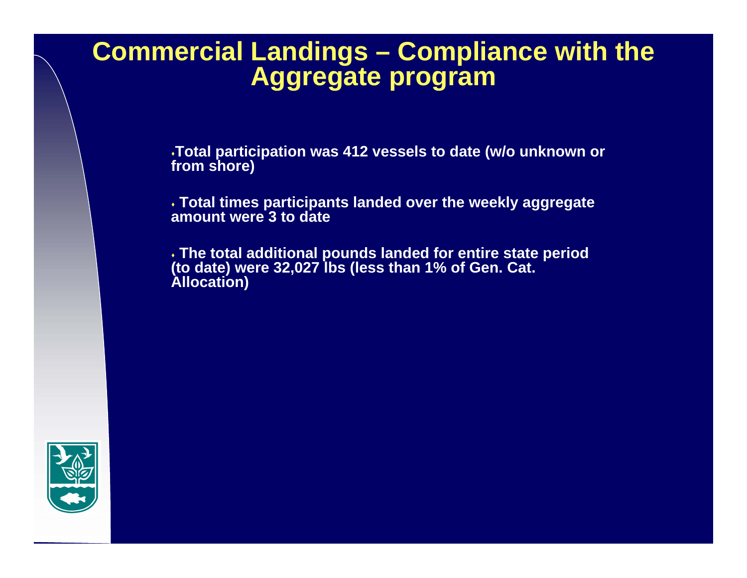### **Commercial Landings – Compliance with the Aggregate program**

**Total participation was 412 vessels to date (w/o unknown or from shore)**

 **Total times participants landed over the weekly aggregate amount were 3 to date**

 **The total additional pounds landed for entire state period (to date) were 32,027 lbs (less than 1% of Gen. Cat. Allocation)**

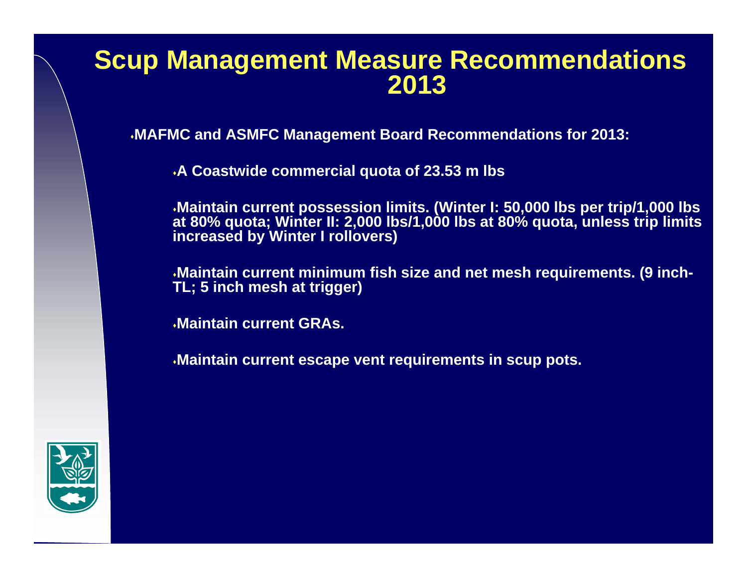## **Scup Management Measure Recommendations 2013**

**MAFMC and ASMFC Management Board Recommendations for 2013:**

**A Coastwide commercial quota of 23.53 m lbs** 

**Maintain current possession limits. (Winter I: 50,000 lbs per trip/1,000 lbs at 80% quota; Winter II: 2,000 lbs/1,000 lbs at 80% quota, unless trip limits increased by Winter I rollovers)**

**Maintain current minimum fish size and net mesh requirements. (9 inch-TL; 5 inch mesh at trigger)**

**Maintain current GRAs.**

**Maintain current escape vent requirements in scup pots.**

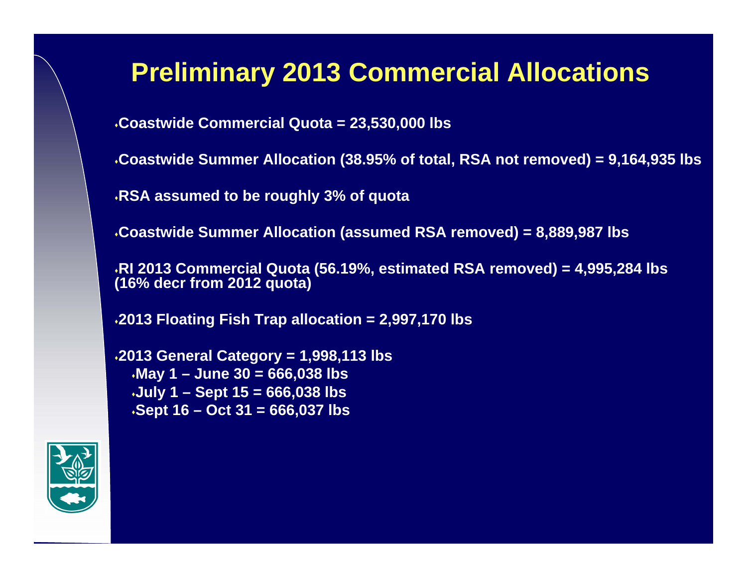## **Preliminary 2013 Commercial Allocations**

**Coastwide Commercial Quota = 23,530,000 lbs**

**Coastwide Summer Allocation (38.95% of total, RSA not removed) = 9,164,935 lbs**

**RSA assumed to be roughly 3% of quota**

**Coastwide Summer Allocation (assumed RSA removed) = 8,889,987 lbs**

**RI 2013 Commercial Quota (56.19%, estimated RSA removed) = 4,995,284 lbs (16% decr from 2012 quota)**

**2013 Floating Fish Trap allocation = 2,997,170 lbs**

**2013 General Category = 1,998,113 lbs May 1 – June 30 = 666,038 lbs July 1 – Sept 15 = 666,038 lbs Sept 16 – Oct 31 = 666,037 lbs**

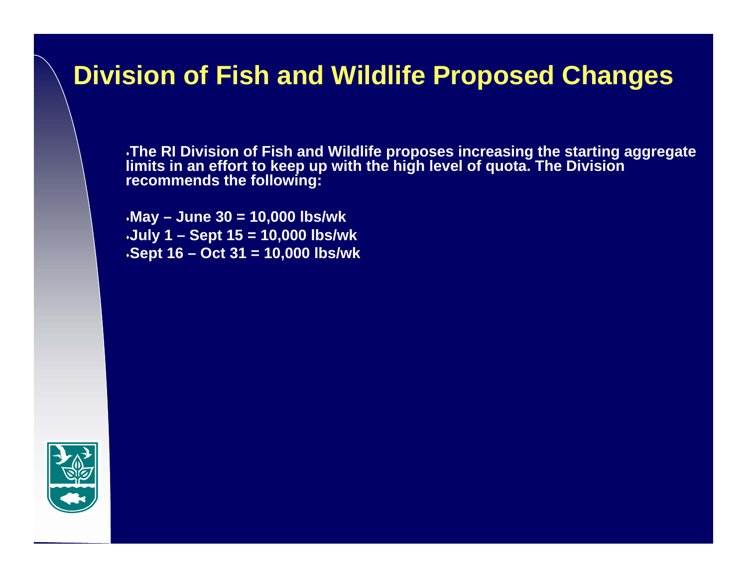## **Division of Fish and Wildlife Proposed Changes**

**The RI Division of Fish and Wildlife proposes increasing the starting aggregate limits in an effort to keep up with the high level of quota. The Division recommends the following:**

**May – June 30 = 10,000 lbs/wk July 1 – Sept 15 = 10,000 lbs/wk Sept 16 – Oct 31 = 10,000 lbs/wk**

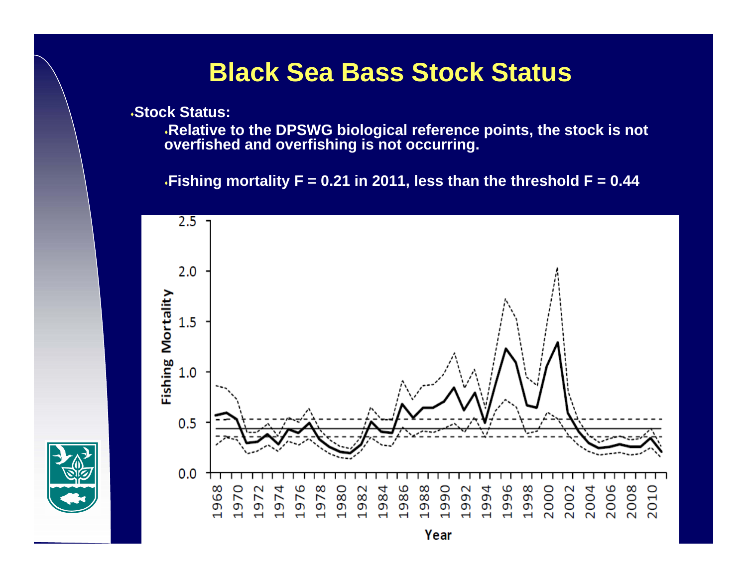## **Black Sea Bass Stock Status**

**Stock Status:**

**Relative to the DPSWG biological reference points, the stock is not overfished and overfishing is not occurring.** 

**Fishing mortality F = 0.21 in 2011, less than the threshold F = 0.44** 

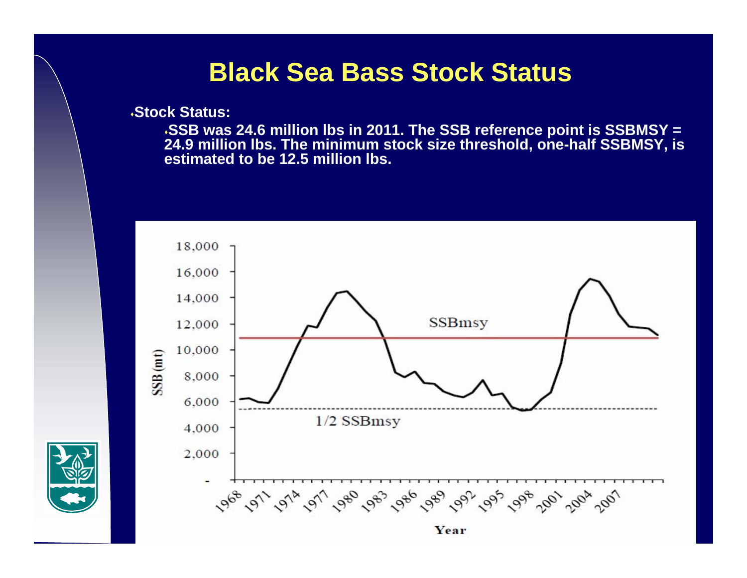### **Black Sea Bass Stock Status**

**Stock Status:**

 **SSB was 24.6 million lbs in 2011. The SSB reference point is SSBMSY = 24.9 million lbs. The minimum stock size threshold, one-half SSBMSY, is estimated to be 12.5 million lbs.** 

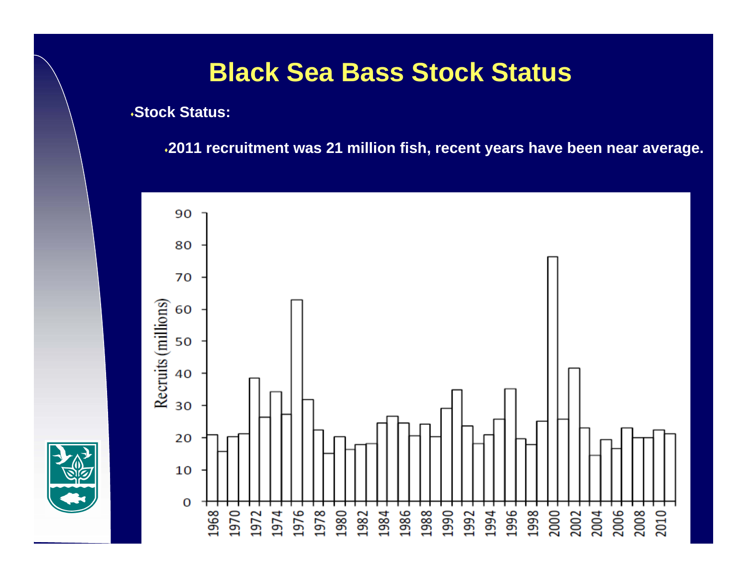## **Black Sea Bass Stock Status**

**Stock Status:**

**2011 recruitment was 21 million fish, recent years have been near average.** 

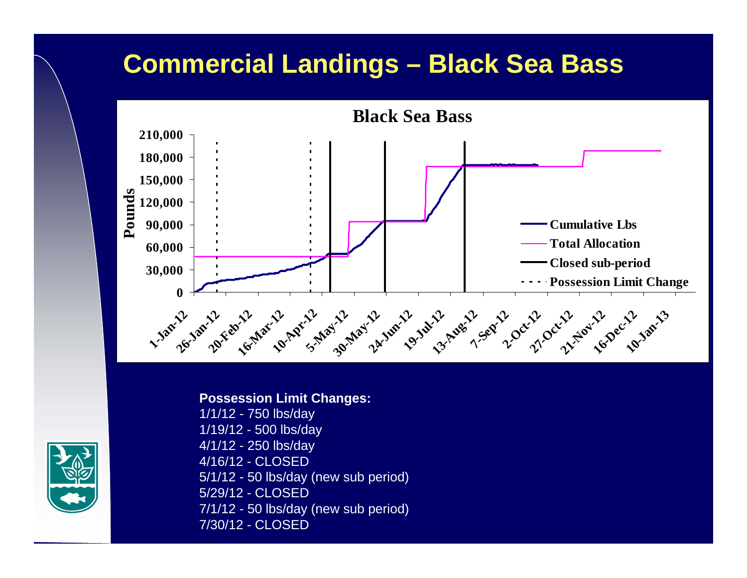# **Commercial Landings – Black Sea Bass**



#### **Possession Limit Changes:**

1/1/12 - 750 lbs/day 1/19/12 - 500 lbs/day 4/1/12 - 250 lbs/day 4/16/12 - CLOSED5/1/12 - 50 lbs/day (new sub period) 5/29/12 - CLOSED7/1/12 - 50 lbs/day (new sub period) 7/30/12 - CLOSED

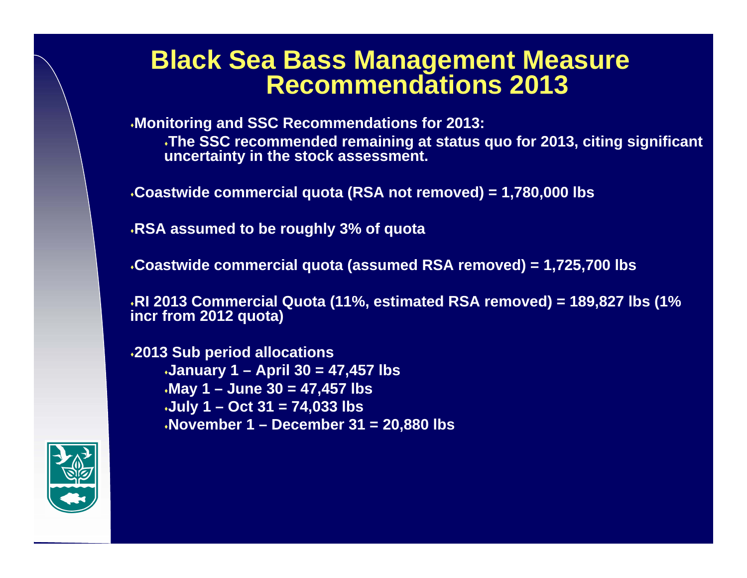#### **Black Sea Bass Management Measure Recommendations 2013**

**Monitoring and SSC Recommendations for 2013:**

**The SSC recommended remaining at status quo for 2013, citing significant uncertainty in the stock assessment.**

**Coastwide commercial quota (RSA not removed) = 1,780,000 lbs**

**RSA assumed to be roughly 3% of quota**

**Coastwide commercial quota (assumed RSA removed) = 1,725,700 lbs**

**RI 2013 Commercial Quota (11%, estimated RSA removed) = 189,827 lbs (1% incr from 2012 quota)**

**2013 Sub period allocations January 1 – April 30 = 47,457 lbs May 1 – June 30 = 47,457 lbs July 1 – Oct 31 = 74,033 lbs November 1 – December 31 = 20,880 lbs**